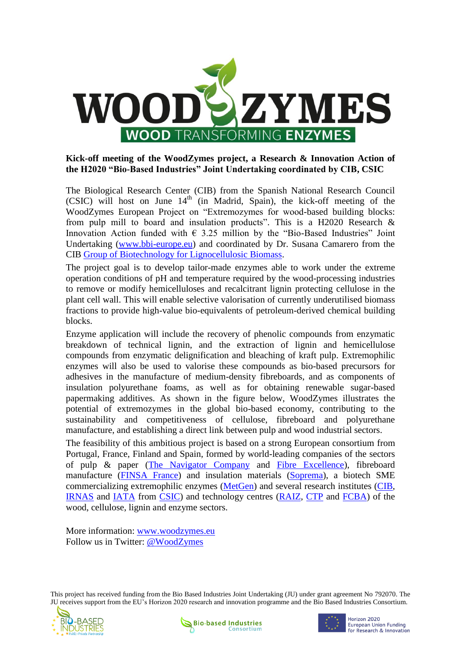

## **Kick-off meeting of the WoodZymes project, a Research & Innovation Action of the H2020 "Bio-Based Industries" Joint Undertaking coordinated by CIB, CSIC**

The Biological Research Center (CIB) from the Spanish National Research Council (CSIC) will host on June  $14<sup>th</sup>$  (in Madrid, Spain), the kick-off meeting of the WoodZymes European Project on "Extremozymes for wood-based building blocks: from pulp mill to board and insulation products". This is a H2020 Research  $\&$ Innovation Action funded with  $\epsilon$  3.25 million by the "Bio-Based Industries" Joint Undertaking [\(www.bbi-europe.eu\)](http://www.bbi-europe.eu/) and coordinated by Dr. Susana Camarero from the CIB [Group of Biotechnology for Lignocellulosic Biomass.](https://www.cib.csic.es/research/microbial-and-plant-biotechnology/biotechnology-lignocellulosic-biomass)

The project goal is to develop tailor-made enzymes able to work under the extreme operation conditions of pH and temperature required by the wood-processing industries to remove or modify hemicelluloses and recalcitrant lignin protecting cellulose in the plant cell wall. This will enable selective valorisation of currently underutilised biomass fractions to provide high-value bio-equivalents of petroleum-derived chemical building blocks.

Enzyme application will include the recovery of phenolic compounds from enzymatic breakdown of technical lignin, and the extraction of lignin and hemicellulose compounds from enzymatic delignification and bleaching of kraft pulp. Extremophilic enzymes will also be used to valorise these compounds as bio-based precursors for adhesives in the manufacture of medium-density fibreboards, and as components of insulation polyurethane foams, as well as for obtaining renewable sugar-based papermaking additives. As shown in the figure below, WoodZymes illustrates the potential of extremozymes in the global bio-based economy, contributing to the sustainability and competitiveness of cellulose, fibreboard and polyurethane manufacture, and establishing a direct link between pulp and wood industrial sectors.

The feasibility of this ambitious project is based on a strong European consortium from Portugal, France, Finland and Spain, formed by world-leading companies of the sectors of pulp & paper [\(The Navigator](http://en.thenavigatorcompany.com/) Company and [Fibre Excellence\)](http://www.fibre-excellence.fr/), fibreboard manufacture [\(FINSA](http://www.finsa.com/cs/Satellite?c=Page&cid=1422354812921&pagename=FN_CatalogoProductos%2FPage%2FCP_PTPortadaSite&idiomaNav=en_US) France) and insulation materials [\(Soprema\)](https://www.soprema.com/en/), a biotech SME commercializing extremophilic enzymes [\(MetGen\)](http://www.metgen.com/) and several research institutes [\(CIB,](https://www.cib.csic.es/) [IRNAS](https://www.irnas.csic.es/en/) and [IATA](https://www.iata.csic.es/en) from [CSIC\)](http://www.csic.es/) and technology centres [\(RAIZ,](http://en.thenavigatorcompany.com/Pulp-and-Paper/Research-Development#modulo854) [CTP](http://www.webctp.com/gb/default.cfm) and [FCBA\)](http://www.fcba.fr/en) of the wood, cellulose, lignin and enzyme sectors.

More information: [www.woodzymes.eu](http://www.woodzymes.eu/) Follow us in Twitter: [@WoodZymes](https://twitter.com/WoodZymes)

This project has received funding from the Bio Based Industries Joint Undertaking (JU) under grant agreement No 792070. The JU receives support from the EU's Horizon 2020 research and innovation programme and the Bio Based Industries Consortium.







Horizon 2020 **European Union Funding** for Research & Innovation